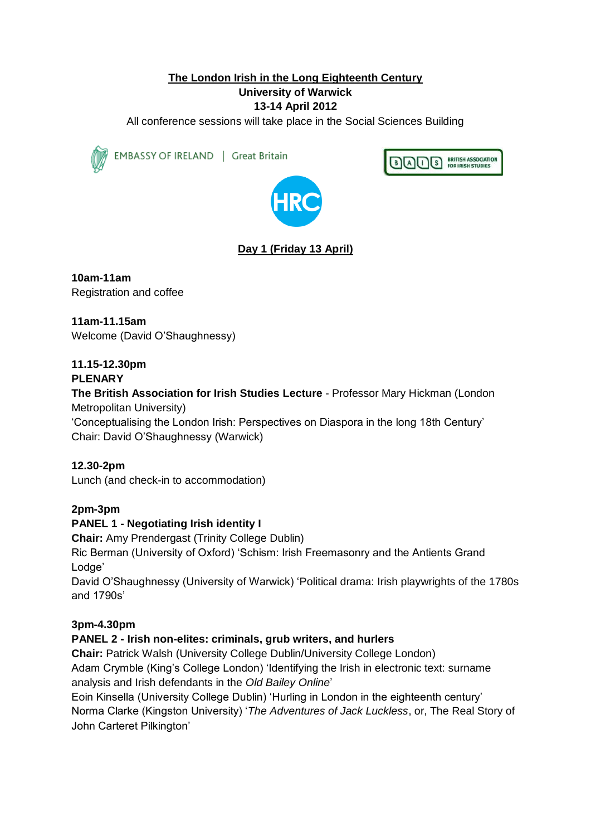## **The London Irish in the Long Eighteenth Century**

#### **University of Warwick**

#### **13-14 April 2012**

All conference sessions will take place in the Social Sciences Building



EMBASSY OF IRELAND | Great Britain





# **Day 1 (Friday 13 April)**

**10am-11am** Registration and coffee

**11am-11.15am**  Welcome (David O'Shaughnessy)

# **11.15-12.30pm**

#### **PLENARY**

**The British Association for Irish Studies Lecture** - Professor Mary Hickman (London Metropolitan University)

'Conceptualising the London Irish: Perspectives on Diaspora in the long 18th Century' Chair: David O'Shaughnessy (Warwick)

**12.30-2pm** Lunch (and check-in to accommodation)

**2pm-3pm**

#### **PANEL 1 - Negotiating Irish identity I**

**Chair:** Amy Prendergast (Trinity College Dublin) Ric Berman (University of Oxford) 'Schism: Irish Freemasonry and the Antients Grand Lodge'

David O'Shaughnessy (University of Warwick) 'Political drama: Irish playwrights of the 1780s and 1790s'

## **3pm-4.30pm**

#### **PANEL 2 - Irish non-elites: criminals, grub writers, and hurlers**

**Chair:** Patrick Walsh (University College Dublin/University College London) Adam Crymble (King's College London) 'Identifying the Irish in electronic text: surname analysis and Irish defendants in the *Old Bailey Online*'

Eoin Kinsella (University College Dublin) 'Hurling in London in the eighteenth century' Norma Clarke (Kingston University) '*The Adventures of Jack Luckless*, or, The Real Story of John Carteret Pilkington'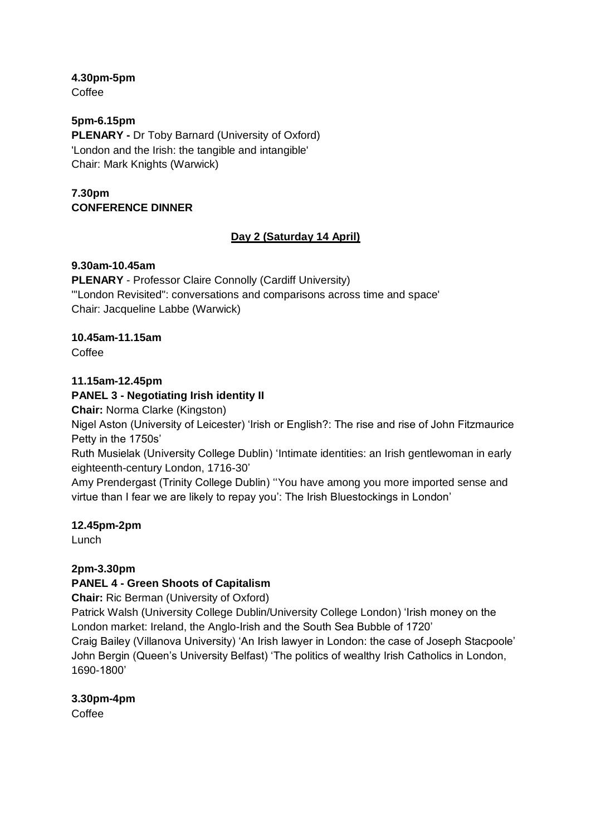**4.30pm-5pm**

Coffee

#### **5pm-6.15pm PLENARY -** Dr Toby Barnard (University of Oxford) 'London and the Irish: the tangible and intangible' Chair: Mark Knights (Warwick)

## **7.30pm CONFERENCE DINNER**

# **Day 2 (Saturday 14 April)**

## **9.30am-10.45am**

**PLENARY** - Professor Claire Connolly (Cardiff University) '"London Revisited": conversations and comparisons across time and space' Chair: Jacqueline Labbe (Warwick)

# **10.45am-11.15am**

Coffee

## **11.15am-12.45pm**

## **PANEL 3 - Negotiating Irish identity II**

**Chair:** Norma Clarke (Kingston)

Nigel Aston (University of Leicester) 'Irish or English?: The rise and rise of John Fitzmaurice Petty in the 1750s'

Ruth Musielak (University College Dublin) 'Intimate identities: an Irish gentlewoman in early eighteenth-century London, 1716-30'

Amy Prendergast (Trinity College Dublin) ''You have among you more imported sense and virtue than I fear we are likely to repay you': The Irish Bluestockings in London'

## **12.45pm-2pm**

Lunch

# **2pm-3.30pm**

# **PANEL 4 - Green Shoots of Capitalism**

**Chair:** Ric Berman (University of Oxford)

Patrick Walsh (University College Dublin/University College London) 'Irish money on the London market: Ireland, the Anglo-Irish and the South Sea Bubble of 1720'

Craig Bailey (Villanova University) 'An Irish lawyer in London: the case of Joseph Stacpoole' John Bergin (Queen's University Belfast) 'The politics of wealthy Irish Catholics in London, 1690-1800'

# **3.30pm-4pm**

Coffee